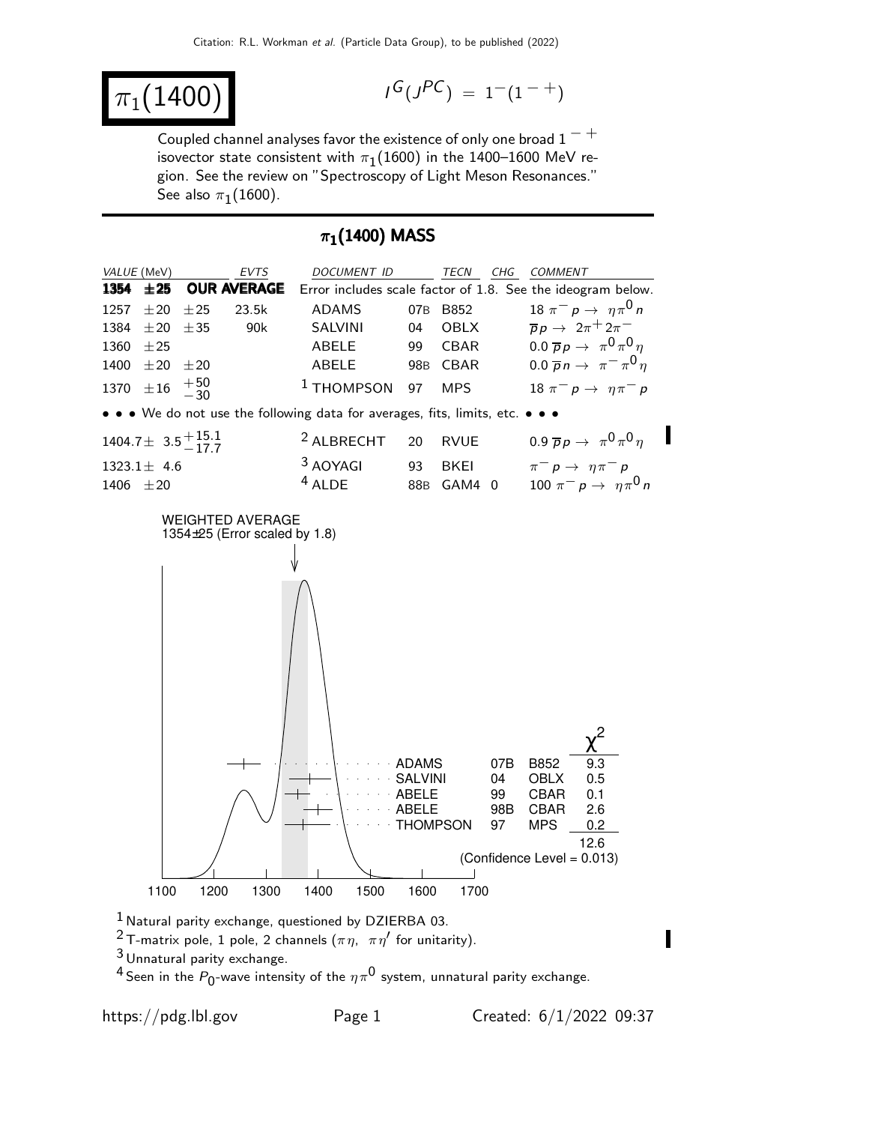$$
\pi_1(1400)
$$

$$
I^G(J^{PC}) = 1^-(1^{-+})
$$

Coupled channel analyses favor the existence of only one broad  $1^{-+}$ isovector state consistent with  $\pi_1(1600)$  in the 1400–1600 MeV region. See the review on "Spectroscopy of Light Meson Resonances." See also  $\pi_1(1600)$ .

## $\pi_1(1400)$  MASS



 $1$  Natural parity exchange, questioned by DZIERBA 03.

- <sup>2</sup> T-matrix pole, 1 pole, 2 channels  $(\pi \eta, \pi \eta'$  for unitarity).
- 3 Unnatural parity exchange.

 $^4$  Seen in the  $P_{\text{0}}$ -wave intensity of the  $\eta \pi^{\text{0}}$  system, unnatural parity exchange.

https://pdg.lbl.gov Page 1 Created:  $6/1/2022$  09:37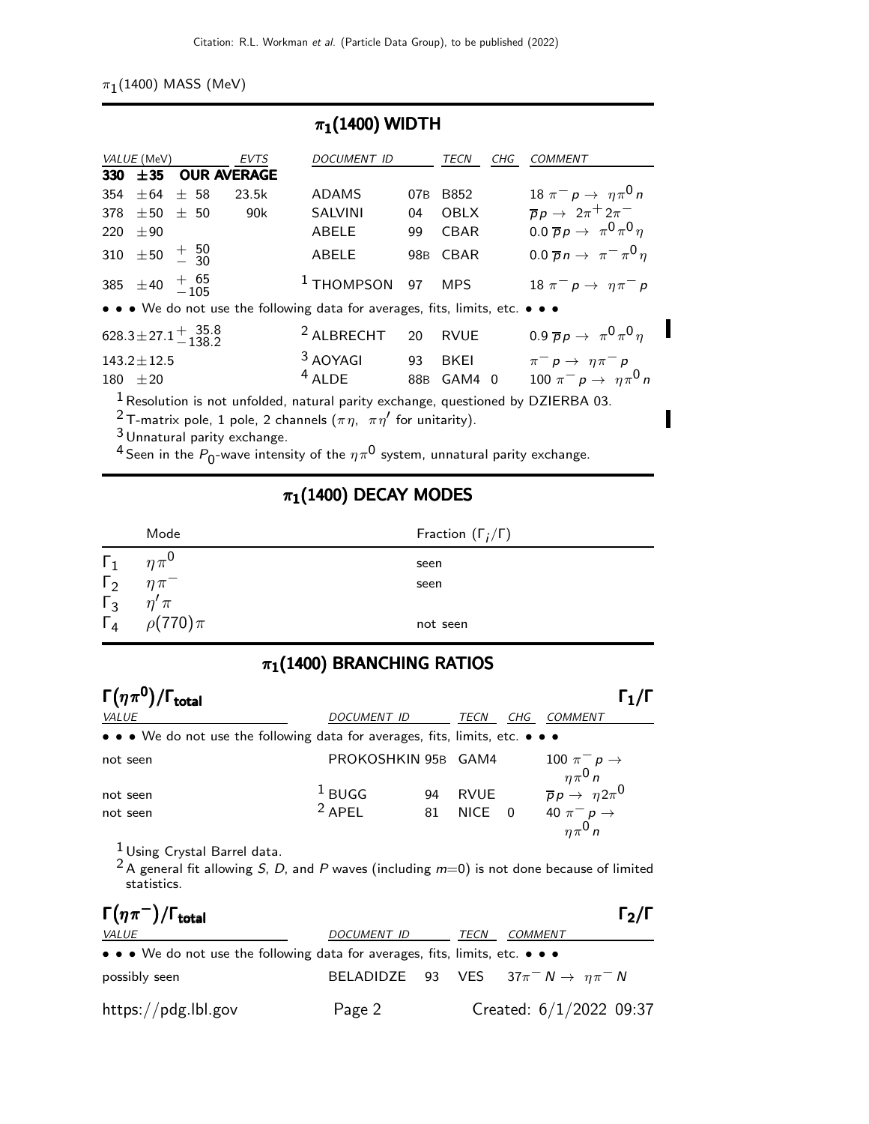$\overline{a}$ 

 $\pi_1$ (1400) MASS (MeV)

| $\pi_1(1400)$ WIDTH                                                                                                                                                                                                                                                                                                      |              |                                                              |                     |                               |                 |                                |                                    |                                                  |
|--------------------------------------------------------------------------------------------------------------------------------------------------------------------------------------------------------------------------------------------------------------------------------------------------------------------------|--------------|--------------------------------------------------------------|---------------------|-------------------------------|-----------------|--------------------------------|------------------------------------|--------------------------------------------------|
| VALUE (MeV)                                                                                                                                                                                                                                                                                                              |              | EVTS                                                         | DOCUMENT ID         |                               | TECN            | CHG                            | <b>COMMENT</b>                     |                                                  |
|                                                                                                                                                                                                                                                                                                                          | 330 $\pm 35$ |                                                              | <b>OUR AVERAGE</b>  |                               |                 |                                |                                    |                                                  |
| 354                                                                                                                                                                                                                                                                                                                      |              | $\pm 64 \pm 58$                                              | 23.5k               | <b>ADAMS</b>                  | 07B             | B852                           |                                    | 18 $\pi^- p \to \eta \pi^0 n$                    |
| 378                                                                                                                                                                                                                                                                                                                      |              | $\pm 50 \pm 50$                                              | 90k                 | <b>SALVINI</b>                | 04              | <b>OBLX</b>                    |                                    | $\overline{p}p \rightarrow 2\pi^+ 2\pi^-$        |
| 220                                                                                                                                                                                                                                                                                                                      | ±90          |                                                              |                     | ABELE                         | 99              | <b>CBAR</b>                    |                                    | 0.0 $\overline{p}p \rightarrow \pi^0 \pi^0 \eta$ |
|                                                                                                                                                                                                                                                                                                                          |              | 310 $\pm 50 + \frac{50}{30}$                                 |                     | <b>ABELE</b>                  | 98 <sub>B</sub> | <b>CBAR</b>                    |                                    | 0.0 $\overline{p}n \to \pi^- \pi^0 \eta$         |
|                                                                                                                                                                                                                                                                                                                          |              | 385 $\pm 40 + \frac{65}{-105}$                               |                     | $1$ THOMPSON 97               |                 | <b>MPS</b>                     |                                    | 18 $\pi^- p \to \eta \pi^- p$                    |
| • • • We do not use the following data for averages, fits, limits, etc. • • •                                                                                                                                                                                                                                            |              |                                                              |                     |                               |                 |                                |                                    |                                                  |
|                                                                                                                                                                                                                                                                                                                          |              | $628.3 \pm 27.1 \begin{array}{c} 35.8 \\ -138.2 \end{array}$ |                     | <sup>2</sup> ALBRECHT 20 RVUE |                 |                                |                                    | 0.9 $\bar{p}p \to \pi^0 \pi^0 \eta$              |
| $143.2 \pm 12.5$                                                                                                                                                                                                                                                                                                         |              |                                                              | <sup>3</sup> AOYAGI | 93                            | <b>BKEI</b>     |                                | $\pi^- p \rightarrow \eta \pi^- p$ |                                                  |
| $4$ ALDE<br>88B GAM4 0<br>180 $\pm 20$                                                                                                                                                                                                                                                                                   |              |                                                              |                     |                               |                 | 100 $\pi^- p \to \eta \pi^0 n$ |                                    |                                                  |
| $1$ Resolution is not unfolded, natural parity exchange, questioned by DZIERBA 03.<br>$\mathcal{L}$ . The contract of the contract of the contract of the contract of the contract of the contract of the contract of the contract of the contract of the contract of the contract of the contract of the contract of th |              |                                                              |                     |                               |                 |                                |                                    |                                                  |

Π

 $\blacksquare$ 

<sup>2</sup> T-matrix pole, 1 pole, 2 channels  $(\pi \eta, \pi \eta'$  for unitarity).

 $3$  Unnatural parity exchange.

 $^4$  Seen in the  $P_0$ -wave intensity of the  $\eta \pi^0$  system, unnatural parity exchange.

## $\pi_1(1400)$  DECAY MODES

|                  | Mode           | Fraction $(\Gamma_i/\Gamma)$ |
|------------------|----------------|------------------------------|
| $\Gamma_1$       | $\eta \pi^0$   | seen                         |
| $\Gamma_2$       | $\eta \pi^-$   | seen                         |
| $\overline{r}_3$ | $\eta'\,\pi$   |                              |
| $\Gamma_{4}$     | $\rho(770)\pi$ | not seen                     |

## $\pi_1(1400)$  BRANCHING RATIOS

| $\Gamma(\eta\pi^0)/\Gamma_{\rm total}$                                                                                |                       |    |             |     |                                                          |  |
|-----------------------------------------------------------------------------------------------------------------------|-----------------------|----|-------------|-----|----------------------------------------------------------|--|
| VALUE                                                                                                                 | <i>DOCUMENT ID</i>    |    | TECN        | CHG | <i>COMMENT</i>                                           |  |
| $\bullet \bullet \bullet$ We do not use the following data for averages, fits, limits, etc. $\bullet \bullet \bullet$ |                       |    |             |     |                                                          |  |
| not seen                                                                                                              | <b>PROKOSHKIN 95B</b> |    | - GAM4      |     | 100 $\pi^- p \rightarrow$                                |  |
| not seen                                                                                                              | $1$ BUGG              | 94 | <b>RVUE</b> |     | $\frac{\eta \pi^0 n}{\overline{p} \rho \to \eta 2\pi^0}$ |  |
| not seen                                                                                                              | $2$ APFI              | 81 | <b>NICE</b> |     | 40 $\pi^ p \rightarrow$                                  |  |
|                                                                                                                       |                       |    |             |     |                                                          |  |

1 Using Crystal Barrel data.

<sup>2</sup> A general fit allowing S, D, and P waves (including  $m=0$ ) is not done because of limited statistics.

| $\Gamma(\eta\pi^-)/\Gamma_{\rm total}$                                        |             |      |                                                       | $\Gamma_2/\Gamma$ |
|-------------------------------------------------------------------------------|-------------|------|-------------------------------------------------------|-------------------|
| <b>VALUE</b>                                                                  | DOCUMENT ID | TECN | COMMENT                                               |                   |
| • • • We do not use the following data for averages, fits, limits, etc. • • • |             |      |                                                       |                   |
| possibly seen                                                                 |             |      | BELADIDZE 93 VES $37\pi^- N \rightarrow \eta \pi^- N$ |                   |
| https://pdg.lbl.gov                                                           | Page 2      |      | Created: $6/1/2022$ 09:37                             |                   |